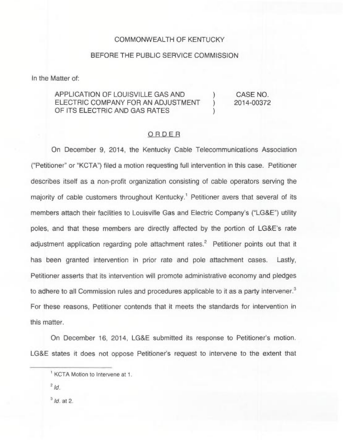## COMMONWEALTH OF KENTUCKY

## BEFORE THE PUBLIC SERVICE COMMISSION

In the Matter of:

## APPLICATION OF LOUISVILLE GAS AND  $($   $)$ <br>
ELECTRIC COMPANY FOR AN ADJUSTMENT ELECTRIC COMPANY FOR AN ADJUSTMENT OF ITS ELECTRIC AND GAS RATES

CASE NO. 2014-00372

## ORDER

On December 9, 2014, the Kentucky Cable Telecommunications Association ("Petitioner" or "KCTA") filed a motion requesting full intervention in this case. Petitioner describes itself as a non-profit organization consisting of cable operators serving the majority of cable customers throughout Kentucky.<sup>1</sup> Petitioner avers that several of its members attach their facilities to Louisville Gas and Electric Company's ("LG&E") utility poles, and that these members are directly affected by the portion of LG&E's rate adjustment application regarding pole attachment rates.<sup>2</sup> Petitioner points out that it has been granted intervention in prior rate and pole attachment cases. Lastly, Petitioner asserts that its intervention will promote administrative economy and pledges to adhere to all Commission rules and procedures applicable to it as a party intervener.<sup>3</sup> For these reasons, Petitioner contends that it meets the standards for intervention in this matter.

On December 16, 2014, LG&E submitted its response to Petitioner's motion. LG&E states it does not oppose Petitioner's request to intervene to the extent that

 $<sup>3</sup>$  Id. at 2.</sup>

<sup>&</sup>lt;sup>1</sup> KCTA Motion to Intervene at 1.

 $^{2}$  Id.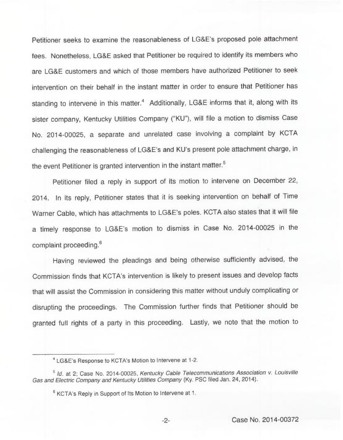Petitioner seeks to examine the reasonableness of LG&E's proposed pole attachment fees. Nonetheless, LG&E asked that Petitioner be required to identify its members who are LG&E customers and which of those members have authorized Petitioner to seek intervention on their behalf in the instant matter in order to ensure that Petitioner has standing to intervene in this matter.<sup>4</sup> Additionally, LG&E informs that it, along with its sister company, Kentucky Utilities Company ("KU"), will file a motion to dismiss Case No. 2014-00025, a separate and unrelated case involving a complaint by KCTA challenging the reasonableness of LG&E's and KU's present pole attachment charge, in the event Petitioner is granted intervention in the instant matter.<sup>5</sup>

Petitioner filed a reply in support of its motion to intervene on December 22, 2014. In its reply, Petitioner states that it is seeking intervention on behalf of Time Warner Cable, which has attachments to LG&E's poles. KCTA also states that it will file a timely response to LG&E's motion to dismiss in Case No. 2014-00025 in the complaint proceeding.<sup>6</sup>

Having reviewed the pleadings and being otherwise sufficiently advised, the Commission finds that KCTA's intervention is likely to present issues and develop facts that will assist the Commission in considering this matter without unduly complicating or disrupting the proceedings. The Commission further finds that Petitioner should be granted full rights of a party in this proceeding. Lastly, we note that the motion to

<sup>&#</sup>x27;G&E's Response to KCTA's Motion to Intervene at 1-2.

<sup>&</sup>lt;sup>5</sup> Id. at 2; Case No. 2014-00025, Kentucky Cable Telecommunications Association v. Louisville Gas and Electric Company and Kentucky Utilities Company (Ky. PSC filed Jan. 24, 2014).

<sup>&</sup>lt;sup>6</sup> KCTA's Reply in Support of Its Motion to Intervene at 1.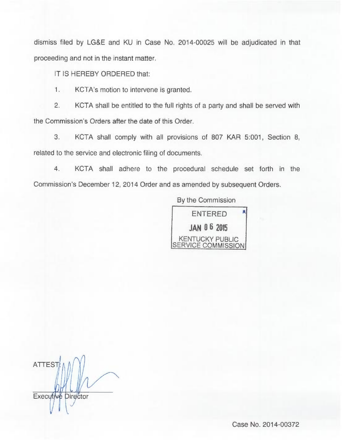dismiss filed by LG&E and KU in Case No. 2014-00025 will be adjudicated in that proceeding and not in the instant matter.

IT IS HEREBY ORDERED that:

1. KCTA's motion to intervene is granted.

2. KCTA shall be entitled to the full rights of a party and shall be served with the Commission's Orders after the date of this Order.

3. KCTA shall comply with all provisions of 807 KAR 5:001, Section 8, related to the service and electronic filing of documents.

4. KCTA shall adhere to the procedural schedule set forth in the Commission's December 12, 2014 Order and as amended by subsequent Orders.

By the Commission



**ATTEST** Executive Director

Case No. 2014-00372